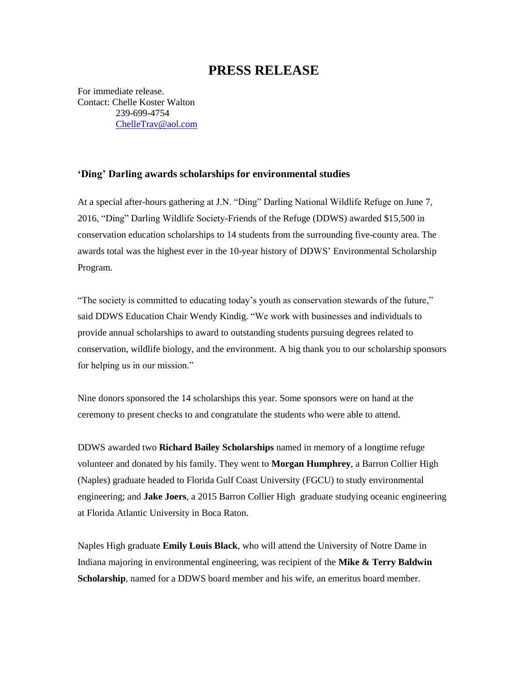## **PRESS RELEASE**

For immediate release. Contact: Chelle Koster Walton 239-699-4754 [ChelleTrav@aol.com](mailto:ChelleTrav@aol.com)

## **'Ding' Darling awards scholarships for environmental studies**

At a special after-hours gathering at J.N. "Ding" Darling National Wildlife Refuge on June 7, 2016, "Ding" Darling Wildlife Society-Friends of the Refuge (DDWS) awarded \$15,500 in conservation education scholarships to 14 students from the surrounding five-county area. The awards total was the highest ever in the 10-year history of DDWS' Environmental Scholarship Program.

"The society is committed to educating today's youth as conservation stewards of the future," said DDWS Education Chair Wendy Kindig. "We work with businesses and individuals to provide annual scholarships to award to outstanding students pursuing degrees related to conservation, wildlife biology, and the environment. A big thank you to our scholarship sponsors for helping us in our mission."

Nine donors sponsored the 14 scholarships this year. Some sponsors were on hand at the ceremony to present checks to and congratulate the students who were able to attend.

DDWS awarded two **Richard Bailey Scholarships** named in memory of a longtime refuge volunteer and donated by his family. They went to **Morgan Humphrey**, a Barron Collier High (Naples) graduate headed to Florida Gulf Coast University (FGCU) to study environmental engineering; and **Jake Joers**, a 2015 Barron Collier High graduate studying oceanic engineering at Florida Atlantic University in Boca Raton.

Naples High graduate **Emily Louis Black**, who will attend the University of Notre Dame in Indiana majoring in environmental engineering, was recipient of the **Mike & Terry Baldwin Scholarship**, named for a DDWS board member and his wife, an emeritus board member.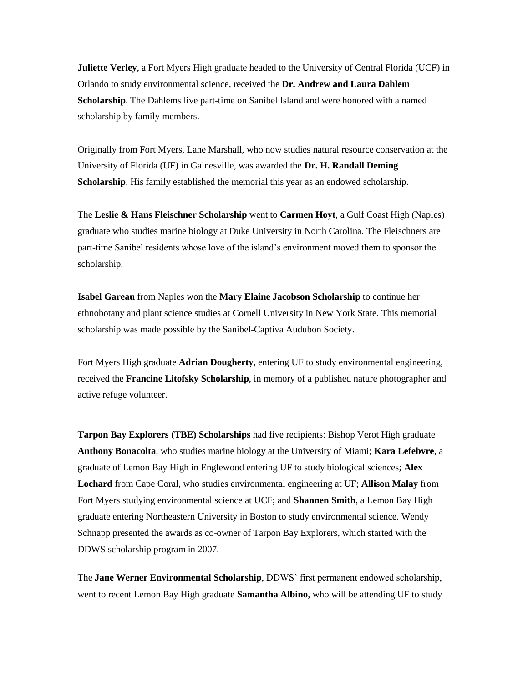**Juliette Verley**, a Fort Myers High graduate headed to the University of Central Florida (UCF) in Orlando to study environmental science, received the **Dr. Andrew and Laura Dahlem Scholarship**. The Dahlems live part-time on Sanibel Island and were honored with a named scholarship by family members.

Originally from Fort Myers, Lane Marshall, who now studies natural resource conservation at the University of Florida (UF) in Gainesville, was awarded the **Dr. H. Randall Deming Scholarship**. His family established the memorial this year as an endowed scholarship.

The **Leslie & Hans Fleischner Scholarship** went to **Carmen Hoyt**, a Gulf Coast High (Naples) graduate who studies marine biology at Duke University in North Carolina. The Fleischners are part-time Sanibel residents whose love of the island's environment moved them to sponsor the scholarship.

**Isabel Gareau** from Naples won the **Mary Elaine Jacobson Scholarship** to continue her ethnobotany and plant science studies at Cornell University in New York State. This memorial scholarship was made possible by the Sanibel-Captiva Audubon Society.

Fort Myers High graduate **Adrian Dougherty**, entering UF to study environmental engineering, received the **Francine Litofsky Scholarship**, in memory of a published nature photographer and active refuge volunteer.

**Tarpon Bay Explorers (TBE) Scholarships** had five recipients: Bishop Verot High graduate **Anthony Bonacolta**, who studies marine biology at the University of Miami; **Kara Lefebvre**, a graduate of Lemon Bay High in Englewood entering UF to study biological sciences; **Alex Lochard** from Cape Coral, who studies environmental engineering at UF; **Allison Malay** from Fort Myers studying environmental science at UCF; and **Shannen Smith**, a Lemon Bay High graduate entering Northeastern University in Boston to study environmental science. Wendy Schnapp presented the awards as co-owner of Tarpon Bay Explorers, which started with the DDWS scholarship program in 2007.

The **Jane Werner Environmental Scholarship**, DDWS' first permanent endowed scholarship, went to recent Lemon Bay High graduate **Samantha Albino**, who will be attending UF to study